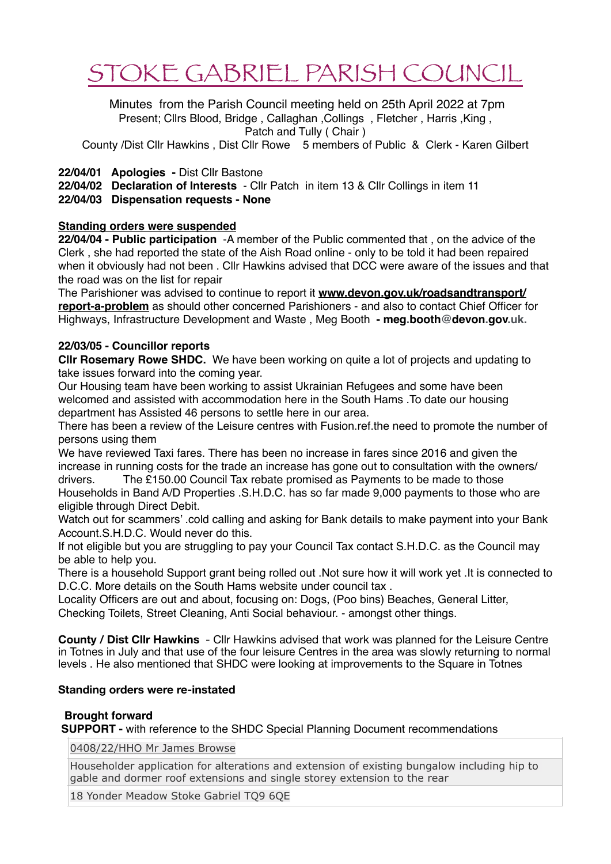# STOKE GABRIEL PARISH COUNCIL

 Minutes from the Parish Council meeting held on 25th April 2022 at 7pm Present; Cllrs Blood, Bridge, Callaghan, Collings, Fletcher, Harris, King, Patch and Tully ( Chair )

County /Dist Cllr Hawkins , Dist Cllr Rowe 5 members of Public & Clerk - Karen Gilbert

# **22/04/01 Apologies -** Dist Cllr Bastone

**22/04/02 Declaration of Interests** - Cllr Patch in item 13 & Cllr Collings in item 11 **22/04/03 Dispensation requests - None**

# **Standing orders were suspended**

**22/04/04 - Public participation** -A member of the Public commented that , on the advice of the Clerk , she had reported the state of the Aish Road online - only to be told it had been repaired when it obviously had not been . Cllr Hawkins advised that DCC were aware of the issues and that the road was on the list for repair

The Parishioner was advised to continue to report it **[www.devon.gov.uk/roadsandtransport/](http://www.devon.gov.uk/roadsandtransport/report-a-problem) [report-a-problem](http://www.devon.gov.uk/roadsandtransport/report-a-problem)** as should other concerned Parishioners - and also to contact Chief Officer for Highways, Infrastructure Development and Waste , Meg Booth **- meg.booth@devon.gov.uk.**

# **22/03/05 - Councillor reports**

**Cllr Rosemary Rowe SHDC.** We have been working on quite a lot of projects and updating to take issues forward into the coming year.

Our Housing team have been working to assist Ukrainian Refugees and some have been welcomed and assisted with accommodation here in the South Hams .To date our housing department has Assisted 46 persons to settle here in our area.

There has been a review of the Leisure centres with Fusion.ref.the need to promote the number of persons using them

We have reviewed Taxi fares. There has been no increase in fares since 2016 and given the increase in running costs for the trade an increase has gone out to consultation with the owners/ drivers. The £150.00 Council Tax rebate promised as Payments to be made to those Households in Band A/D Properties .S.H.D.C. has so far made 9,000 payments to those who are eligible through Direct Debit.

Watch out for scammers' .cold calling and asking for Bank details to make payment into your Bank Account.S.H.D.C. Would never do this.

If not eligible but you are struggling to pay your Council Tax contact S.H.D.C. as the Council may be able to help you.

There is a household Support grant being rolled out .Not sure how it will work yet .It is connected to D.C.C. More details on the South Hams website under council tax .

Locality Officers are out and about, focusing on: Dogs, (Poo bins) Beaches, General Litter, Checking Toilets, Street Cleaning, Anti Social behaviour. - amongst other things.

**County / Dist Cllr Hawkins** - Cllr Hawkins advised that work was planned for the Leisure Centre in Totnes in July and that use of the four leisure Centres in the area was slowly returning to normal levels . He also mentioned that SHDC were looking at improvements to the Square in Totnes

## **Standing orders were re-instated**

## **Brought forward**

 **SUPPORT -** with reference to the SHDC Special Planning Document recommendations

[0408/22/HHO Mr James Browse](http://apps.southhams.gov.uk/PlanningSearchMVC/Home/Details/220408)

Householder application for alterations and extension of existing bungalow including hip to gable and dormer roof extensions and single storey extension to the rear

18 Yonder Meadow Stoke Gabriel TQ9 6QE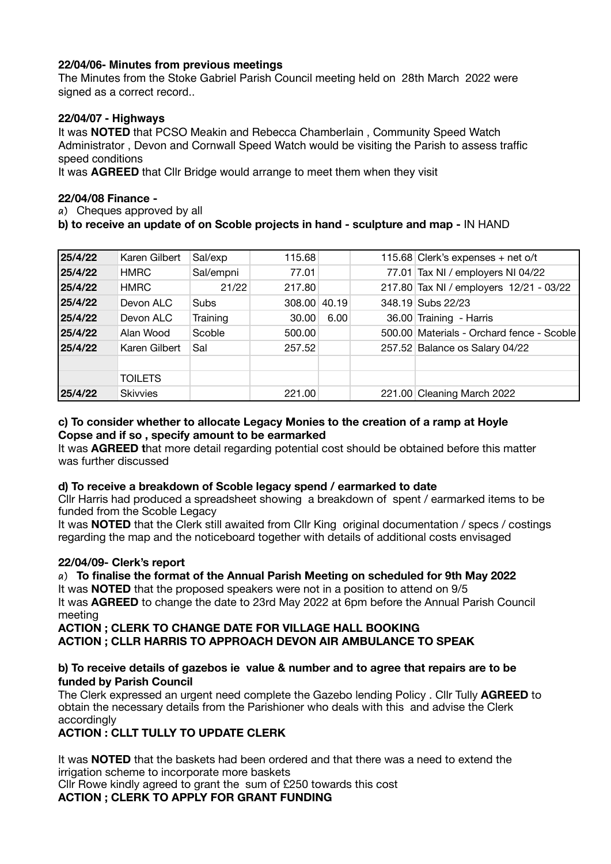# **22/04/06- Minutes from previous meetings**

The Minutes from the Stoke Gabriel Parish Council meeting held on 28th March 2022 were signed as a correct record..

## **22/04/07 - Highways**

It was **NOTED** that PCSO Meakin and Rebecca Chamberlain , Community Speed Watch Administrator , Devon and Cornwall Speed Watch would be visiting the Parish to assess traffic speed conditions

It was **AGREED** that Cllr Bridge would arrange to meet them when they visit

#### **22/04/08 Finance -**

**a)** Cheques approved by all

## **b) to receive an update of on Scoble projects in hand - sculpture and map -** IN HAND

| 25/4/22 | Karen Gilbert   | Sal/exp   | 115.68 |       | 115.68 Clerk's expenses + net o/t         |
|---------|-----------------|-----------|--------|-------|-------------------------------------------|
| 25/4/22 | <b>HMRC</b>     | Sal/empni | 77.01  |       | 77.01 Tax NI / employers NI 04/22         |
| 25/4/22 | <b>HMRC</b>     | 21/22     | 217.80 |       | 217.80 Tax NI / employers 12/21 - 03/22   |
| 25/4/22 | Devon ALC       | Subs      | 308.00 | 40.19 | 348.19 Subs 22/23                         |
| 25/4/22 | Devon ALC       | Training  | 30.00  | 6.00  | 36.00 Training - Harris                   |
| 25/4/22 | Alan Wood       | Scoble    | 500.00 |       | 500.00 Materials - Orchard fence - Scoble |
| 25/4/22 | Karen Gilbert   | Sal       | 257.52 |       | 257.52 Balance os Salary 04/22            |
|         |                 |           |        |       |                                           |
|         | <b>TOILETS</b>  |           |        |       |                                           |
| 25/4/22 | <b>Skivvies</b> |           | 221.00 |       | 221.00 Cleaning March 2022                |

## **c) To consider whether to allocate Legacy Monies to the creation of a ramp at Hoyle Copse and if so , specify amount to be earmarked**

It was **AGREED t**hat more detail regarding potential cost should be obtained before this matter was further discussed

## **d) To receive a breakdown of Scoble legacy spend / earmarked to date**

Cllr Harris had produced a spreadsheet showing a breakdown of spent / earmarked items to be funded from the Scoble Legacy

It was **NOTED** that the Clerk still awaited from Cllr King original documentation / specs / costings regarding the map and the noticeboard together with details of additional costs envisaged

## **22/04/09- Clerk's report**

#### **a) To finalise the format of the Annual Parish Meeting on scheduled for 9th May 2022**  It was **NOTED** that the proposed speakers were not in a position to attend on 9/5

It was **AGREED** to change the date to 23rd May 2022 at 6pm before the Annual Parish Council meeting

**ACTION ; CLERK TO CHANGE DATE FOR VILLAGE HALL BOOKING ACTION ; CLLR HARRIS TO APPROACH DEVON AIR AMBULANCE TO SPEAK** 

#### **b) To receive details of gazebos ie value & number and to agree that repairs are to be funded by Parish Council**

The Clerk expressed an urgent need complete the Gazebo lending Policy . Cllr Tully **AGREED** to obtain the necessary details from the Parishioner who deals with this and advise the Clerk accordingly

## **ACTION : CLLT TULLY TO UPDATE CLERK**

It was **NOTED** that the baskets had been ordered and that there was a need to extend the irrigation scheme to incorporate more baskets

Cllr Rowe kindly agreed to grant the sum of £250 towards this cost

**ACTION ; CLERK TO APPLY FOR GRANT FUNDING**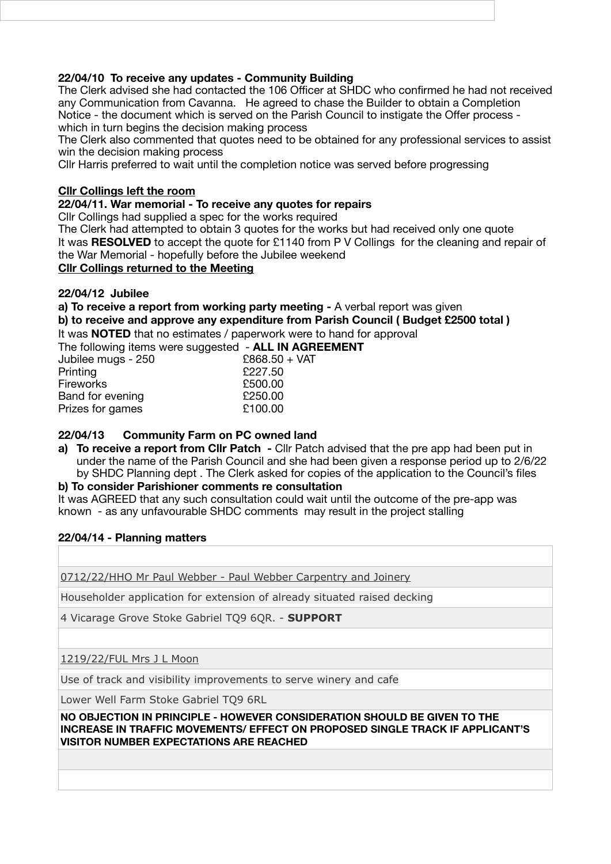# **22/04/10 To receive any updates - Community Building**

The Clerk advised she had contacted the 106 Officer at SHDC who confirmed he had not received any Communication from Cavanna. He agreed to chase the Builder to obtain a Completion Notice - the document which is served on the Parish Council to instigate the Offer process which in turn begins the decision making process

The Clerk also commented that quotes need to be obtained for any professional services to assist win the decision making process

Cllr Harris preferred to wait until the completion notice was served before progressing

## **Cllr Collings left the room**

#### **22/04/11. War memorial - To receive any quotes for repairs**

Cllr Collings had supplied a spec for the works required

The Clerk had attempted to obtain 3 quotes for the works but had received only one quote It was **RESOLVED** to accept the quote for £1140 from P V Collings for the cleaning and repair of the War Memorial - hopefully before the Jubilee weekend

# **Cllr Collings returned to the Meeting**

#### **22/04/12 Jubilee**

**a) To receive a report from working party meeting -** A verbal report was given

**b) to receive and approve any expenditure from Parish Council ( Budget £2500 total )** 

It was **NOTED** that no estimates / paperwork were to hand for approval **ALL IN AGREEMENT** 

| The following Items were suggested - ALL IN AGR |               |
|-------------------------------------------------|---------------|
| Jubilee mugs - 250                              | £868.50 + VAT |
| Printing                                        | £227.50       |
| <b>Fireworks</b>                                | £500.00       |
| Band for evening                                | £250.00       |
| Prizes for games                                | £100.00       |
|                                                 |               |

## **22/04/13 Community Farm on PC owned land**

**a) To receive a report from Cllr Patch -** Cllr Patch advised that the pre app had been put in under the name of the Parish Council and she had been given a response period up to 2/6/22 by SHDC Planning dept . The Clerk asked for copies of the application to the Council's files

**b) To consider Parishioner comments re consultation**

It was AGREED that any such consultation could wait until the outcome of the pre-app was known - as any unfavourable SHDC comments may result in the project stalling

## **22/04/14 - Planning matters**

[0712/22/HHO Mr Paul Webber - Paul Webber Carpentry and Joinery](http://apps.southhams.gov.uk/PlanningSearchMVC/Home/Details/220712)

Householder application for extension of already situated raised decking

4 Vicarage Grove Stoke Gabriel TQ9 6QR. - **SUPPORT**

[1219/22/FUL Mrs J L Moon](http://apps.southhams.gov.uk/PlanningSearchMVC/Home/Details/221219)

Use of track and visibility improvements to serve winery and cafe

Lower Well Farm Stoke Gabriel TQ9 6RL

#### **NO OBJECTION IN PRINCIPLE - HOWEVER CONSIDERATION SHOULD BE GIVEN TO THE INCREASE IN TRAFFIC MOVEMENTS/ EFFECT ON PROPOSED SINGLE TRACK IF APPLICANT'S VISITOR NUMBER EXPECTATIONS ARE REACHED**